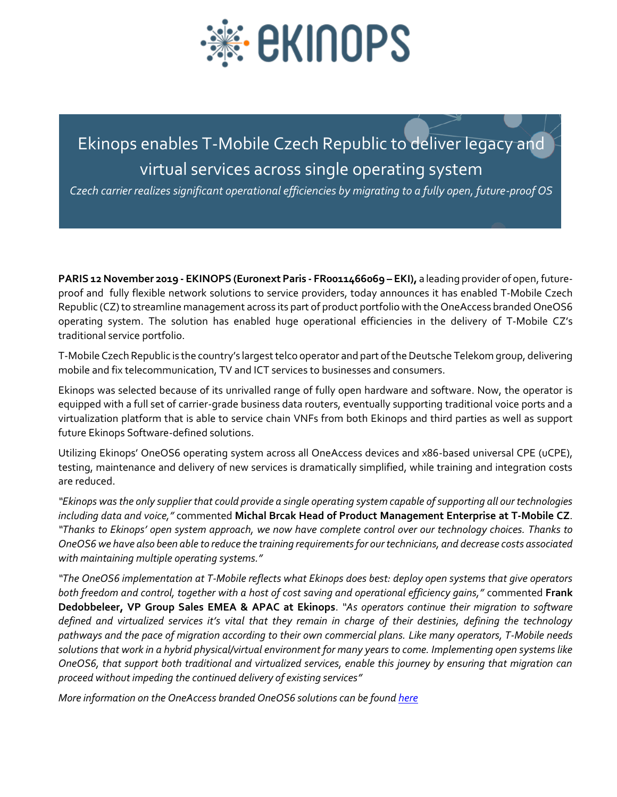

## Ekinops enables T-Mobile Czech Republic to deliver legacy and virtual services across single operating system

*Czech carrier realizes significant operational efficiencies by migrating to a fully open, future-proof OS* 

**PARIS 12 November 2019 - EKINOPS (Euronext Paris - FR0011466069 – EKI),** a leading provider of open, futureproof and fully flexible network solutions to service providers, today announces it has enabled T-Mobile Czech Republic (CZ) to streamline management across its part of product portfolio with the OneAccess branded OneOS6 operating system. The solution has enabled huge operational efficiencies in the delivery of T-Mobile CZ's traditional service portfolio.

T-Mobile Czech Republic is the country's largest telco operator and part of the Deutsche Telekom group, delivering mobile and fix telecommunication, TV and ICT services to businesses and consumers.

Ekinops was selected because of its unrivalled range of fully open hardware and software. Now, the operator is equipped with a full set of carrier-grade business data routers, eventually supporting traditional voice ports and a virtualization platform that is able to service chain VNFs from both Ekinops and third parties as well as support future Ekinops Software-defined solutions.

Utilizing Ekinops' OneOS6 operating system across all OneAccess devices and x86-based universal CPE (uCPE), testing, maintenance and delivery of new services is dramatically simplified, while training and integration costs are reduced.

*"Ekinops was the only supplier that could provide a single operating system capable of supporting all our technologies including data and voice,"* commented **Michal Brcak Head of Product Management Enterprise at T-Mobile CZ**. *"Thanks to Ekinops' open system approach, we now have complete control over our technology choices. Thanks to OneOS6 we have also been able to reduce the training requirements for our technicians, and decrease costs associated with maintaining multiple operating systems."*

*"The OneOS6 implementation at T-Mobile reflects what Ekinops does best: deploy open systems that give operators both freedom and control, together with a host of cost saving and operational efficiency gains,"* commented **Frank Dedobbeleer, VP Group Sales EMEA & APAC at Ekinops**. *"As operators continue their migration to software defined and virtualized services it's vital that they remain in charge of their destinies, defining the technology pathways and the pace of migration according to their own commercial plans. Like many operators, T-Mobile needs solutions that work in a hybrid physical/virtual environment for many years to come. Implementing open systems like OneOS6, that support both traditional and virtualized services, enable this journey by ensuring that migration can proceed without impeding the continued delivery of existing services"*

*More information on the OneAccess branded OneOS6 solutions can be foun[d here](http://www.ekinops.com/)*